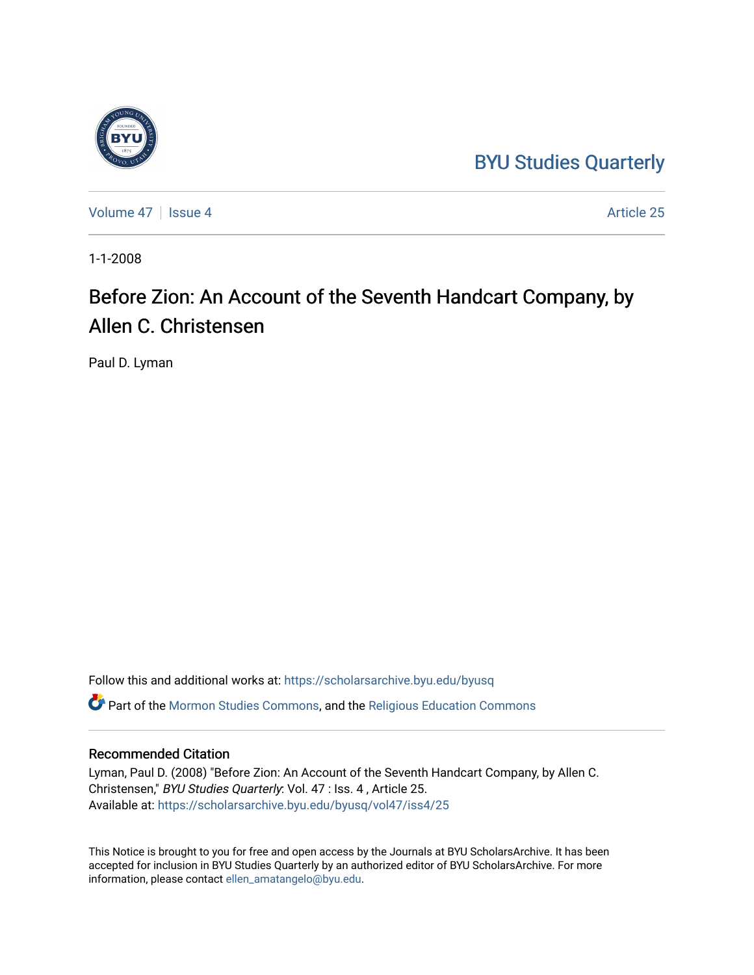## [BYU Studies Quarterly](https://scholarsarchive.byu.edu/byusq)



[Volume 47](https://scholarsarchive.byu.edu/byusq/vol47) | [Issue 4](https://scholarsarchive.byu.edu/byusq/vol47/iss4) Article 25

1-1-2008

## Before Zion: An Account of the Seventh Handcart Company, by Allen C. Christensen

Paul D. Lyman

Follow this and additional works at: [https://scholarsarchive.byu.edu/byusq](https://scholarsarchive.byu.edu/byusq?utm_source=scholarsarchive.byu.edu%2Fbyusq%2Fvol47%2Fiss4%2F25&utm_medium=PDF&utm_campaign=PDFCoverPages)  Part of the [Mormon Studies Commons](http://network.bepress.com/hgg/discipline/1360?utm_source=scholarsarchive.byu.edu%2Fbyusq%2Fvol47%2Fiss4%2F25&utm_medium=PDF&utm_campaign=PDFCoverPages), and the [Religious Education Commons](http://network.bepress.com/hgg/discipline/1414?utm_source=scholarsarchive.byu.edu%2Fbyusq%2Fvol47%2Fiss4%2F25&utm_medium=PDF&utm_campaign=PDFCoverPages) 

## Recommended Citation

Lyman, Paul D. (2008) "Before Zion: An Account of the Seventh Handcart Company, by Allen C. Christensen," BYU Studies Quarterly: Vol. 47 : Iss. 4 , Article 25. Available at: [https://scholarsarchive.byu.edu/byusq/vol47/iss4/25](https://scholarsarchive.byu.edu/byusq/vol47/iss4/25?utm_source=scholarsarchive.byu.edu%2Fbyusq%2Fvol47%2Fiss4%2F25&utm_medium=PDF&utm_campaign=PDFCoverPages) 

This Notice is brought to you for free and open access by the Journals at BYU ScholarsArchive. It has been accepted for inclusion in BYU Studies Quarterly by an authorized editor of BYU ScholarsArchive. For more information, please contact [ellen\\_amatangelo@byu.edu.](mailto:ellen_amatangelo@byu.edu)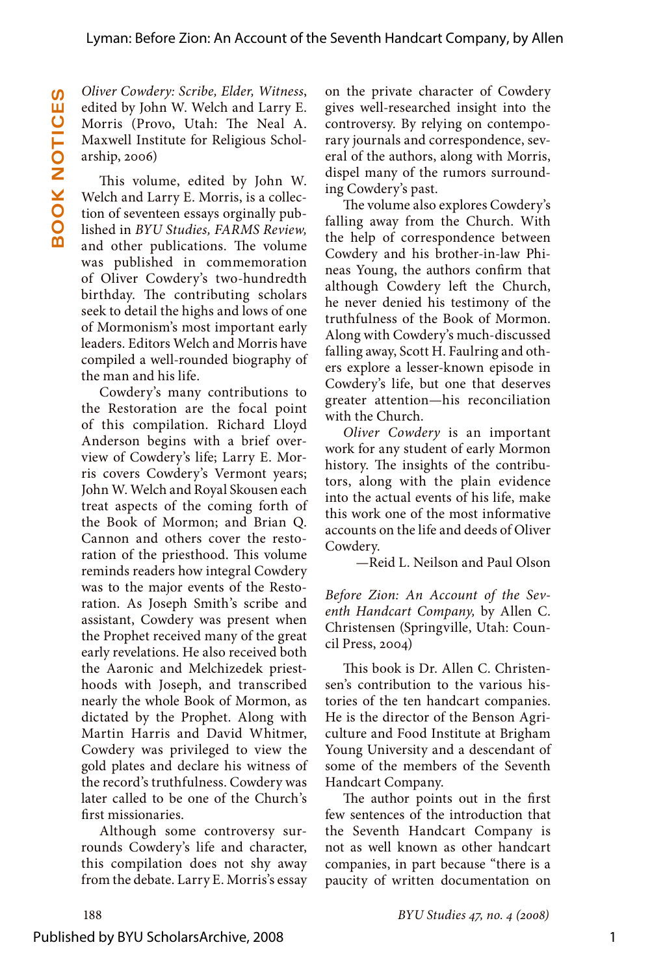*Oliver Cowdery: Scribe, Elder, Witness*, edited by John W. Welch and Larry E. Morris (Provo, Utah: The Neal A. Maxwell Institute for Religious Scholarship, 2006)

This volume, edited by John W. Welch and Larry E. Morris, is a collection of seventeen essays orginally published in *BYU Studies, FARMS Review,* and other publications. The volume was published in commemoration of Oliver Cowdery's two-hundredth birthday. The contributing scholars seek to detail the highs and lows of one of Mormonism's most important early leaders. Editors Welch and Morris have compiled a well-rounded biography of the man and his life.

Cowdery's many contributions to the Restoration are the focal point of this compilation. Richard Lloyd Anderson begins with a brief overview of Cowdery's life; Larry E. Morris covers Cowdery's Vermont years; John W. Welch and Royal Skousen each treat aspects of the coming forth of the Book of Mormon; and Brian Q. Cannon and others cover the restoration of the priesthood. This volume reminds readers how integral Cowdery was to the major events of the Restoration. As Joseph Smith's scribe and assistant, Cowdery was present when the Prophet received many of the great early revelations. He also received both the Aaronic and Melchizedek priesthoods with Joseph, and transcribed nearly the whole Book of Mormon, as dictated by the Prophet. Along with Martin Harris and David Whitmer, Cowdery was privileged to view the gold plates and declare his witness of the record's truthfulness. Cowdery was later called to be one of the Church's first missionaries.

Although some controversy surrounds Cowdery's life and character, this compilation does not shy away from the debate. Larry E. Morris's essay on the private character of Cowdery gives well-researched insight into the controversy. By relying on contemporary journals and correspondence, several of the authors, along with Morris, dispel many of the rumors surrounding Cowdery's past.

The volume also explores Cowdery's falling away from the Church. With the help of correspondence between Cowdery and his brother-in-law Phineas Young, the authors confirm that although Cowdery left the Church, he never denied his testimony of the truthfulness of the Book of Mormon. Along with Cowdery's much-discussed falling away, Scott H. Faulring and others explore a lesser-known episode in Cowdery's life, but one that deserves greater attention—his reconciliation with the Church.

*Oliver Cowdery* is an important work for any student of early Mormon history. The insights of the contributors, along with the plain evidence into the actual events of his life, make this work one of the most informative accounts on the life and deeds of Oliver Cowdery.

—Reid L. Neilson and Paul Olson

*Before Zion: An Account of the Seventh Handcart Company,* by Allen C. Christensen (Springville, Utah: Council Press, 2004)

This book is Dr. Allen C. Christensen's contribution to the various histories of the ten handcart companies. He is the director of the Benson Agriculture and Food Institute at Brigham Young University and a descendant of some of the members of the Seventh Handcart Company.

The author points out in the first few sentences of the introduction that the Seventh Handcart Company is not as well known as other handcart companies, in part because "there is a paucity of written documentation on